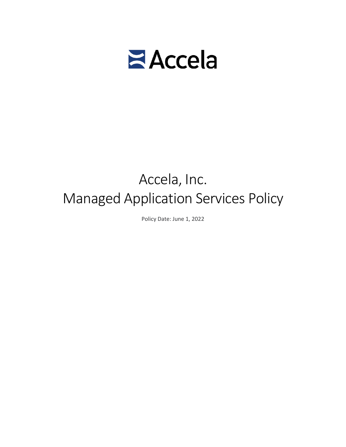

# Accela, Inc. Managed Application Services Policy

Policy Date: June 1, 2022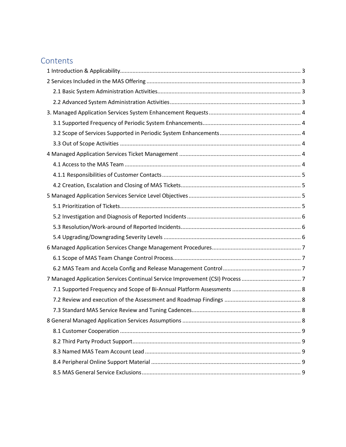# **Contents**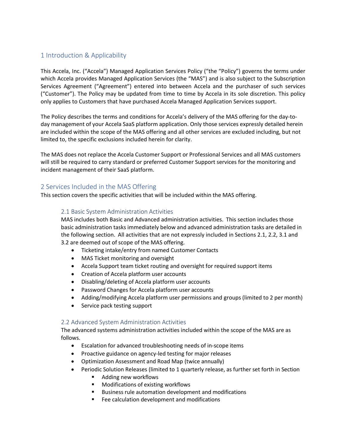# <span id="page-2-0"></span>1 Introduction & Applicability

This Accela, Inc. ("Accela") Managed Application Services Policy ("the "Policy") governs the terms under which Accela provides Managed Application Services (the "MAS") and is also subject to the Subscription Services Agreement ("Agreement") entered into between Accela and the purchaser of such services ("Customer"). The Policy may be updated from time to time by Accela in its sole discretion. This policy only applies to Customers that have purchased Accela Managed Application Services support.

The Policy describes the terms and conditions for Accela's delivery of the MAS offering for the day-today management of your Accela SaaS platform application. Only those services expressly detailed herein are included within the scope of the MAS offering and all other services are excluded including, but not limited to, the specific exclusions included herein for clarity.

The MAS does not replace the Accela Customer Support or Professional Services and all MAS customers will still be required to carry standard or preferred Customer Support services for the monitoring and incident management of their SaaS platform.

# <span id="page-2-1"></span>2 Services Included in the MAS Offering

<span id="page-2-2"></span>This section covers the specific activities that will be included within the MAS offering.

#### 2.1 Basic System Administration Activities

MAS includes both Basic and Advanced administration activities. This section includes those basic administration tasks immediately below and advanced administration tasks are detailed in the following section. All activities that are not expressly included in Sections 2.1, 2.2, 3.1 and 3.2 are deemed out of scope of the MAS offering.

- Ticketing intake/entry from named Customer Contacts
- MAS Ticket monitoring and oversight
- Accela Support team ticket routing and oversight for required support items
- Creation of Accela platform user accounts
- Disabling/deleting of Accela platform user accounts
- Password Changes for Accela platform user accounts
- Adding/modifying Accela platform user permissions and groups (limited to 2 per month)
- Service pack testing support

### <span id="page-2-3"></span>2.2 Advanced System Administration Activities

The advanced systems administration activities included within the scope of the MAS are as follows.

- Escalation for advanced troubleshooting needs of in-scope items
- Proactive guidance on agency-led testing for major releases
- Optimization Assessment and Road Map (twice annually)
- Periodic Solution Releases (limited to 1 quarterly release, as further set forth in Section
	- Adding new workflows
	- **Modifications of existing workflows**
	- **Business rule automation development and modifications**
	- **Fee calculation development and modifications**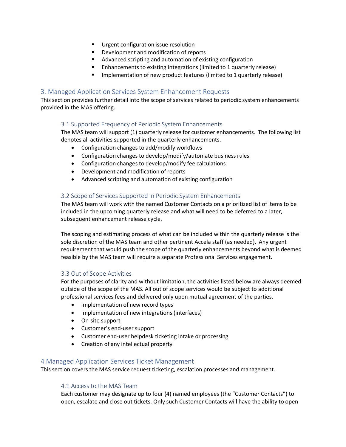- **Urgent configuration issue resolution**
- **•** Development and modification of reports
- Advanced scripting and automation of existing configuration
- Enhancements to existing integrations (limited to 1 quarterly release)
- **IMPLEMENTER IMPLEMENT IMPLEM** Implementation of new product features (limited to 1 quarterly release)

#### <span id="page-3-0"></span>3. Managed Application Services System Enhancement Requests

<span id="page-3-1"></span>This section provides further detail into the scope of services related to periodic system enhancements provided in the MAS offering.

#### 3.1 Supported Frequency of Periodic System Enhancements

The MAS team will support (1) quarterly release for customer enhancements. The following list denotes all activities supported in the quarterly enhancements.

- Configuration changes to add/modify workflows
- Configuration changes to develop/modify/automate business rules
- Configuration changes to develop/modify fee calculations
- Development and modification of reports
- Advanced scripting and automation of existing configuration

#### <span id="page-3-2"></span>3.2 Scope of Services Supported in Periodic System Enhancements

The MAS team will work with the named Customer Contacts on a prioritized list of items to be included in the upcoming quarterly release and what will need to be deferred to a later, subsequent enhancement release cycle.

The scoping and estimating process of what can be included within the quarterly release is the sole discretion of the MAS team and other pertinent Accela staff (as needed). Any urgent requirement that would push the scope of the quarterly enhancements beyond what is deemed feasible by the MAS team will require a separate Professional Services engagement.

#### <span id="page-3-3"></span>3.3 Out of Scope Activities

For the purposes of clarity and without limitation, the activities listed below are always deemed outside of the scope of the MAS. All out of scope services would be subject to additional professional services fees and delivered only upon mutual agreement of the parties.

- Implementation of new record types
- Implementation of new integrations (interfaces)
- On-site support
- Customer's end-user support
- Customer end-user helpdesk ticketing intake or processing
- Creation of any intellectual property

### <span id="page-3-4"></span>4 Managed Application Services Ticket Management

<span id="page-3-5"></span>This section covers the MAS service request ticketing, escalation processes and management.

#### 4.1 Access to the MAS Team

Each customer may designate up to four (4) named employees (the "Customer Contacts") to open, escalate and close out tickets. Only such Customer Contacts will have the ability to open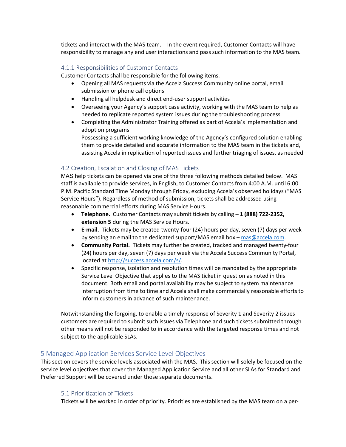tickets and interact with the MAS team. In the event required, Customer Contacts will have responsibility to manage any end user interactions and pass such information to the MAS team.

#### <span id="page-4-0"></span>4.1.1 Responsibilities of Customer Contacts

Customer Contacts shall be responsible for the following items.

- Opening all MAS requests via the Accela Success Community online portal, email submission or phone call options
- Handling all helpdesk and direct end-user support activities
- Overseeing your Agency's support case activity, working with the MAS team to help as needed to replicate reported system issues during the troubleshooting process
- Completing the Administrator Training offered as part of Accela's implementation and adoption programs

Possessing a sufficient working knowledge of the Agency's configured solution enabling them to provide detailed and accurate information to the MAS team in the tickets and, assisting Accela in replication of reported issues and further triaging of issues, as needed

# <span id="page-4-1"></span>4.2 Creation, Escalation and Closing of MAS Tickets

MAS help tickets can be opened via one of the three following methods detailed below. MAS staff is available to provide services, in English, to Customer Contacts from 4:00 A.M. until 6:00 P.M. Pacific Standard Time Monday through Friday, excluding Accela's observed holidays ("MAS Service Hours"). Regardless of method of submission, tickets shall be addressed using reasonable commercial efforts during MAS Service Hours.

- **Telephone.** Customer Contacts may submit tickets by calling **1 (888) 722-2352, extension 5** during the MAS Service Hours.
- **E-mail.** Tickets may be created twenty-four (24) hours per day, seven (7) days per week by sending an email to the dedicated support/MAS email box [– mas@accela.com.](mailto:support@accela.com)
- **Community Portal.** Tickets may further be created, tracked and managed twenty-four (24) hours per day, seven (7) days per week via the Accela Success Community Portal, located at [http://success.accela.com/s/.](http://success.accela.com/s/)
- Specific response, isolation and resolution times will be mandated by the appropriate Service Level Objective that applies to the MAS ticket in question as noted in this document. Both email and portal availability may be subject to system maintenance interruption from time to time and Accela shall make commercially reasonable efforts to inform customers in advance of such maintenance.

Notwithstanding the forgoing, to enable a timely response of Severity 1 and Severity 2 issues customers are required to submit such issues via Telephone and such tickets submitted through other means will not be responded to in accordance with the targeted response times and not subject to the applicable SLAs.

### <span id="page-4-2"></span>5 Managed Application Services Service Level Objectives

This section covers the service levels associated with the MAS. This section will solely be focused on the service level objectives that cover the Managed Application Service and all other SLAs for Standard and Preferred Support will be covered under those separate documents.

### <span id="page-4-3"></span>5.1 Prioritization of Tickets

Tickets will be worked in order of priority. Priorities are established by the MAS team on a per-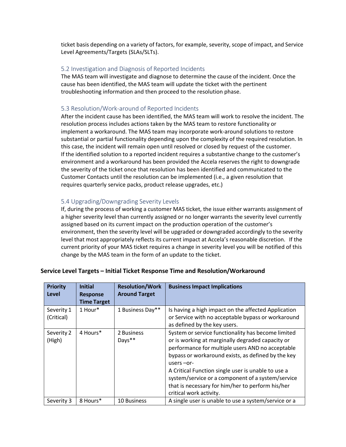ticket basis depending on a variety of factors, for example, severity, scope of impact, and Service Level Agreements/Targets (SLAs/SLTs).

#### <span id="page-5-0"></span>5.2 Investigation and Diagnosis of Reported Incidents

The MAS team will investigate and diagnose to determine the cause of the incident. Once the cause has been identified, the MAS team will update the ticket with the pertinent troubleshooting information and then proceed to the resolution phase.

## <span id="page-5-1"></span>5.3 Resolution/Work-around of Reported Incidents

After the incident cause has been identified, the MAS team will work to resolve the incident. The resolution process includes actions taken by the MAS team to restore functionality or implement a workaround. The MAS team may incorporate work-around solutions to restore substantial or partial functionality depending upon the complexity of the required resolution. In this case, the incident will remain open until resolved or closed by request of the customer. If the identified solution to a reported incident requires a substantive change to the customer's environment and a workaround has been provided the Accela reserves the right to downgrade the severity of the ticket once that resolution has been identified and communicated to the Customer Contacts until the resolution can be implemented (i.e., a given resolution that requires quarterly service packs, product release upgrades, etc.)

### <span id="page-5-2"></span>5.4 Upgrading/Downgrading Severity Levels

If, during the process of working a customer MAS ticket, the issue either warrants assignment of a higher severity level than currently assigned or no longer warrants the severity level currently assigned based on its current impact on the production operation of the customer's environment, then the severity level will be upgraded or downgraded accordingly to the severity level that most appropriately reflects its current impact at Accela's reasonable discretion. If the current priority of your MAS ticket requires a change in severity level you will be notified of this change by the MAS team in the form of an update to the ticket.

| <b>Priority</b><br><b>Level</b> | <b>Initial</b><br><b>Response</b><br><b>Time Target</b> | <b>Resolution/Work</b><br><b>Around Target</b> | <b>Business Impact Implications</b>                                                                                                                                                                                                                                                                                                                                                                                         |
|---------------------------------|---------------------------------------------------------|------------------------------------------------|-----------------------------------------------------------------------------------------------------------------------------------------------------------------------------------------------------------------------------------------------------------------------------------------------------------------------------------------------------------------------------------------------------------------------------|
| Severity 1<br>(Critical)        | 1 Hour*                                                 | 1 Business Day**                               | Is having a high impact on the affected Application<br>or Service with no acceptable bypass or workaround<br>as defined by the key users.                                                                                                                                                                                                                                                                                   |
| Severity 2<br>(High)            | 4 Hours*                                                | 2 Business<br>Days**                           | System or service functionality has become limited<br>or is working at marginally degraded capacity or<br>performance for multiple users AND no acceptable<br>bypass or workaround exists, as defined by the key<br>users $-$ or-<br>A Critical Function single user is unable to use a<br>system/service or a component of a system/service<br>that is necessary for him/her to perform his/her<br>critical work activity. |
| Severity 3                      | 8 Hours*                                                | <b>10 Business</b>                             | A single user is unable to use a system/service or a                                                                                                                                                                                                                                                                                                                                                                        |

### **Service Level Targets – Initial Ticket Response Time and Resolution/Workaround**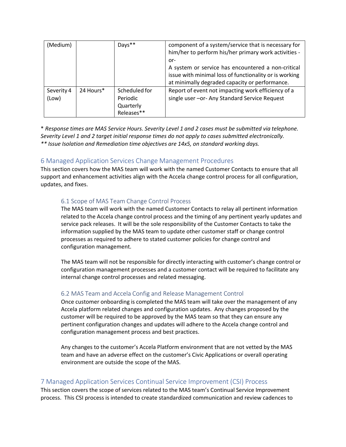| (Medium)   |           | Days**        | component of a system/service that is necessary for<br>him/her to perform his/her primary work activities - |
|------------|-----------|---------------|-------------------------------------------------------------------------------------------------------------|
|            |           |               | or-                                                                                                         |
|            |           |               | A system or service has encountered a non-critical                                                          |
|            |           |               | issue with minimal loss of functionality or is working                                                      |
|            |           |               | at minimally degraded capacity or performance.                                                              |
| Severity 4 | 24 Hours* | Scheduled for | Report of event not impacting work efficiency of a                                                          |
| (Low)      |           | Periodic      | single user - or- Any Standard Service Request                                                              |
|            |           | Quarterly     |                                                                                                             |
|            |           | Releases**    |                                                                                                             |

\* *Response times are MAS Service Hours. Severity Level 1 and 2 cases must be submitted via telephone. Severity Level 1 and 2 target initial response times do not apply to cases submitted electronically. \*\* Issue Isolation and Remediation time objectives are 14x5, on standard working days.*

# <span id="page-6-0"></span>6 Managed Application Services Change Management Procedures

This section covers how the MAS team will work with the named Customer Contacts to ensure that all support and enhancement activities align with the Accela change control process for all configuration, updates, and fixes.

### <span id="page-6-1"></span>6.1 Scope of MAS Team Change Control Process

The MAS team will work with the named Customer Contacts to relay all pertinent information related to the Accela change control process and the timing of any pertinent yearly updates and service pack releases. It will be the sole responsibility of the Customer Contacts to take the information supplied by the MAS team to update other customer staff or change control processes as required to adhere to stated customer policies for change control and configuration management.

The MAS team will not be responsible for directly interacting with customer's change control or configuration management processes and a customer contact will be required to facilitate any internal change control processes and related messaging.

### <span id="page-6-2"></span>6.2 MAS Team and Accela Config and Release Management Control

Once customer onboarding is completed the MAS team will take over the management of any Accela platform related changes and configuration updates. Any changes proposed by the customer will be required to be approved by the MAS team so that they can ensure any pertinent configuration changes and updates will adhere to the Accela change control and configuration management process and best practices.

Any changes to the customer's Accela Platform environment that are not vetted by the MAS team and have an adverse effect on the customer's Civic Applications or overall operating environment are outside the scope of the MAS.

### <span id="page-6-3"></span>7 Managed Application Services Continual Service Improvement (CSI) Process

This section covers the scope of services related to the MAS team's Continual Service Improvement process. This CSI process is intended to create standardized communication and review cadences to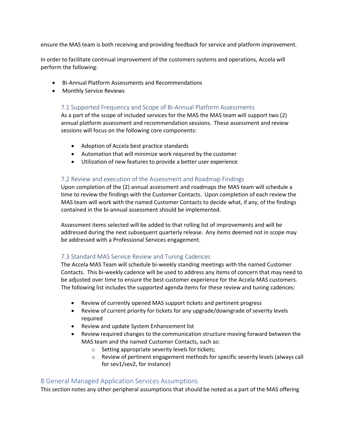ensure the MAS team is both receiving and providing feedback for service and platform improvement.

In order to facilitate continual improvement of the customers systems and operations, Accela will perform the following:

- Bi-Annual Platform Assessments and Recommendations
- <span id="page-7-0"></span>• Monthly Service Reviews

### 7.1 Supported Frequency and Scope of Bi-Annual Platform Assessments

As a part of the scope of included services for the MAS the MAS team will support two (2) annual platform assessment and recommendation sessions. These assessment and review sessions will focus on the following core components:

- Adoption of Accela best practice standards
- Automation that will minimize work required by the customer
- Utilization of new features to provide a better user experience

#### <span id="page-7-1"></span>7.2 Review and execution of the Assessment and Roadmap Findings

Upon completion of the (2) annual assessment and roadmaps the MAS team will schedule a time to review the findings with the Customer Contacts. Upon completion of each review the MAS team will work with the named Customer Contacts to decide what, if any, of the findings contained in the bi-annual assessment should be implemented.

Assessment items selected will be added to that rolling list of improvements and will be addressed during the next subsequent quarterly release. Any items deemed not in scope may be addressed with a Professional Services engagement.

### <span id="page-7-2"></span>7.3 Standard MAS Service Review and Tuning Cadences

The Accela MAS Team will schedule bi-weekly standing meetings with the named Customer Contacts. This bi-weekly cadence will be used to address any items of concern that may need to be adjusted over time to ensure the best customer experience for the Accela MAS customers. The following list includes the supported agenda items for these review and tuning cadences:

- Review of currently opened MAS support tickets and pertinent progress
- Review of current priority for tickets for any upgrade/downgrade of severity levels required
- Review and update System Enhancement list
- Review required changes to the communication structure moving forward between the MAS team and the named Customer Contacts, such as:
	- o Setting appropriate severity levels for tickets;
	- o Review of pertinent engagement methods for specific severity levels (always call for sev1/sev2, for instance)

### <span id="page-7-3"></span>8 General Managed Application Services Assumptions

This section notes any other peripheral assumptions that should be noted as a part of the MAS offering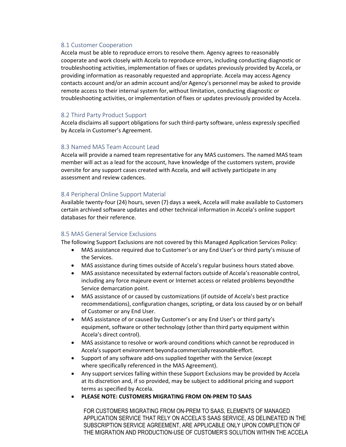## <span id="page-8-0"></span>8.1 Customer Cooperation

Accela must be able to reproduce errors to resolve them. Agency agrees to reasonably cooperate and work closely with Accela to reproduce errors, including conducting diagnostic or troubleshooting activities, implementation of fixes or updates previously provided by Accela, or providing information as reasonably requested and appropriate. Accela may access Agency contacts account and/or an admin account and/or Agency's personnel may be asked to provide remote access to their internal system for,without limitation, conducting diagnostic or troubleshooting activities, or implementation of fixes or updates previously provided by Accela.

### <span id="page-8-1"></span>8.2 Third Party Product Support

Accela disclaims all support obligations for such third-party software, unless expressly specified by Accela in Customer's Agreement.

# <span id="page-8-2"></span>8.3 Named MAS Team Account Lead

Accela will provide a named team representative for any MAS customers. The named MAS team member will act as a lead for the account, have knowledge of the customers system, provide oversite for any support cases created with Accela, and will actively participate in any assessment and review cadences.

# <span id="page-8-3"></span>8.4 Peripheral Online Support Material

Available twenty-four (24) hours, seven (7) days a week, Accela will make available to Customers certain archived software updates and other technical information in Accela's online support databases for their reference.

### <span id="page-8-4"></span>8.5 MAS General Service Exclusions

The following Support Exclusions are not covered by this Managed Application Services Policy:

- MAS assistance required due to Customer's or any End User's or third party's misuse of the Services.
- MAS assistance during times outside of Accela's regular business hours stated above.
- MAS assistance necessitated by external factors outside of Accela's reasonable control, including any force majeure event or Internet access or related problems beyondthe Service demarcation point.
- MAS assistance of or caused by customizations (if outside of Accela's best practice recommendations), configuration changes, scripting, or data loss caused by or on behalf of Customer or any End User.
- MAS assistance of or caused by Customer's or any End User's or third party's equipment, software or other technology (other than third party equipment within Accela's direct control).
- MAS assistance to resolve or work-around conditions which cannot be reproduced in Accela's support environment beyondacommerciallyreasonableeffort.
- Support of any software add-ons supplied together with the Service (except where specifically referenced in the MAS Agreement).
- Any support services falling within these Support Exclusions may be provided by Accela at its discretion and, if so provided, may be subject to additional pricing and support terms as specified by Accela.
- **PLEASE NOTE: CUSTOMERS MIGRATING FROM ON-PREM TO SAAS**

FOR CUSTOMERS MIGRATING FROM ON-PREM TO SAAS, ELEMENTS OF MANAGED APPLICATION SERVICE THAT RELY ON ACCELA'S SAAS SERVICE, AS DELINEATED IN THE SUBSCRIPTION SERVICE AGREEMENT, ARE APPLICABLE ONLY UPON COMPLETION OF THE MIGRATION AND PRODUCTION-USE OF CUSTOMER'S SOLUTION WITHIN THE ACCELA